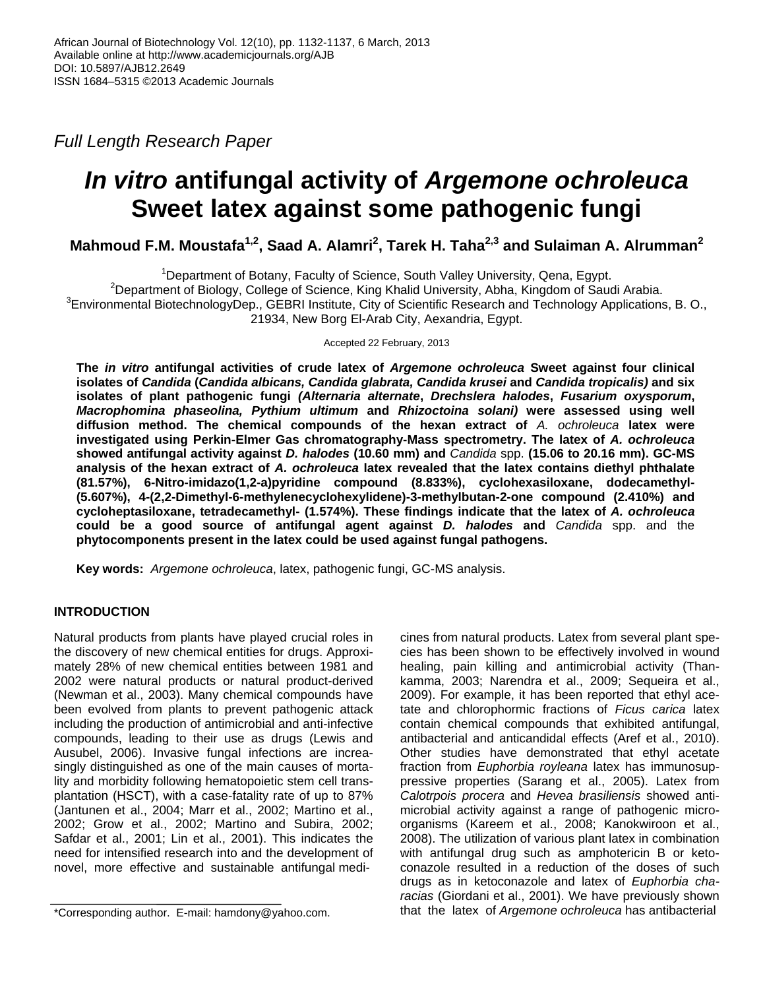*Full Length Research Paper*

# *In vitro* **antifungal activity of** *Argemone ochroleuca*  **Sweet latex against some pathogenic fungi**

**Mahmoud F.M. Moustafa1,2 , Saad A. Alamri<sup>2</sup> , Tarek H. Taha2,3 and Sulaiman A. Alrumman<sup>2</sup>**

<sup>1</sup>Department of Botany, Faculty of Science, South Valley University, Qena, Egypt. <sup>2</sup>Department of Biology, College of Science, King Khalid University, Abha, Kingdom of Saudi Arabia.  ${}^{3}$ Environmental BiotechnologyDep., GEBRI Institute, City of Scientific Research and Technology Applications, B. O., 21934, New Borg El-Arab City, Aexandria, Egypt.

Accepted 22 February, 2013

**The** *in vitro* **antifungal activities of crude latex of** *Argemone ochroleuca* **Sweet against four clinical isolates of** *Candida* **(***Candida albicans, Candida glabrata, Candida krusei* **and** *Candida tropicalis)* **and six isolates of plant pathogenic fungi** *(Alternaria alternate***,** *Drechslera halodes***,** *Fusarium oxysporum***,**  *Macrophomina phaseolina, Pythium ultimum* **and** *Rhizoctoina solani)* **were assessed using well diffusion method. The chemical compounds of the hexan extract of** *A. ochroleuca* **latex were investigated using Perkin-Elmer Gas chromatography-Mass spectrometry. The latex of** *A. ochroleuca*  **showed antifungal activity against** *D. halodes* **(10.60 mm) and** *Candida* spp. **(15.06 to 20.16 mm). GC-MS analysis of the hexan extract of** *A. ochroleuca* **latex revealed that the latex contains diethyl phthalate (81.57%), 6-Nitro-imidazo(1,2-a)pyridine compound (8.833%), cyclohexasiloxane, dodecamethyl- (5.607%), [4-\(2,2-Dimethyl-6-methylenecyclohexylidene\)-3-methylbutan-2-one](http://www.ncbi.nlm.nih.gov/sites/entrez?cmd=search&db=pcsubstance&term=%224%2d%282%2c2%2dDimethyl%2d6%2dmethylenecyclohexylidene%29%2d3%2dmethylbutan%2d2%2done%22%5bCompleteSynonym%5d%205373838%5bstandardizedcid%5d) compound (2.410%) and cycloheptasiloxane, tetradecamethyl- (1.574%). These findings indicate that the latex of** *A. ochroleuca* **could be a good source of antifungal agent against** *D. halodes* **and** *Candida* spp. and the **phytocomponents present in the latex could be used against fungal pathogens.**

**Key words:** *Argemone ochroleuca*, latex, pathogenic fungi, GC-MS analysis.

# **INTRODUCTION**

Natural products from plants have played crucial roles in the discovery of new chemical entities for drugs. Approximately 28% of new chemical entities between 1981 and 2002 were natural products or natural product-derived (Newman et al., 2003). Many chemical compounds have been evolved from plants to prevent pathogenic attack including the production of antimicrobial and anti-infective compounds, leading to their use as drugs (Lewis and Ausubel, 2006). Invasive fungal infections are increasingly distinguished as one of the main causes of mortality and morbidity following hematopoietic stem cell transplantation (HSCT), with a case-fatality rate of up to 87% (Jantunen et al., 2004; Marr et al., 2002; Martino et al., 2002; Grow et al., 2002; Martino and Subira, 2002; Safdar et al., 2001; Lin et al., 2001). This indicates the need for intensified research into and the development of novel, more effective and sustainable antifungal medi-

cines from natural products. Latex from several plant species has been shown to be effectively involved in wound healing, pain killing and antimicrobial activity (Thankamma, 2003; Narendra et al., 2009; Sequeira et al., 2009). For example, it has been reported that ethyl acetate and chlorophormic fractions of *Ficus carica* latex contain chemical compounds that exhibited antifungal, antibacterial and anticandidal effects (Aref et al., 2010). Other studies have demonstrated that ethyl acetate fraction from *Euphorbia royleana* latex has immunosuppressive properties (Sarang et al., 2005). Latex from *Calotrpois procera* and *Hevea brasiliensis* showed antimicrobial activity against a range of pathogenic microorganisms (Kareem et al., 2008; Kanokwiroon et al., 2008). The utilization of various plant latex in combination with antifungal drug such as amphotericin B or ketoconazole resulted in a reduction of the doses of such drugs as in ketoconazole and latex of *Euphorbia characias* (Giordani et al., 2001). We have previously shown that the latex of *Argemone ochroleuca* has antibacterial

<sup>\*</sup>Corresponding author. E-mail: hamdony@yahoo.com.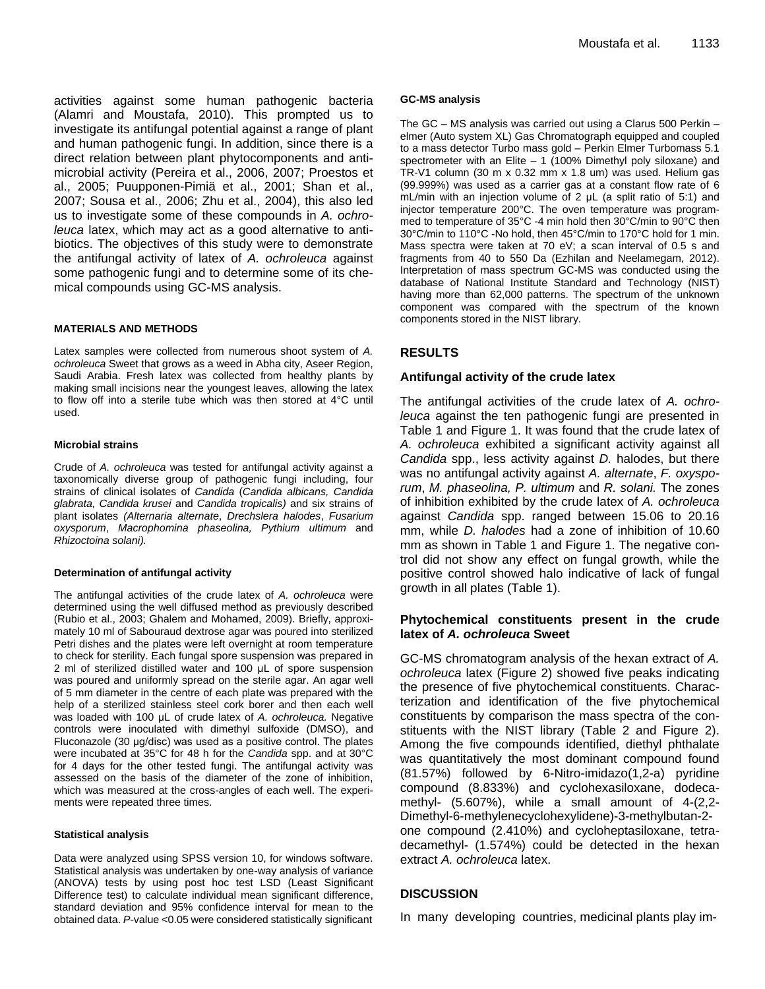activities against some human pathogenic bacteria [\(Alamri and](http://www.ncbi.nlm.nih.gov/pubmed?term=%22Alamri%20SA%22%5BAuthor%5D) [Moustafa, 2010\)](http://www.ncbi.nlm.nih.gov/pubmed?term=%22Moustafa%20MF%22%5BAuthor%5D). This prompted us to investigate its antifungal potential against a range of plant and human pathogenic fungi. In addition, since there is a direct relation between plant phytocomponents and antimicrobial activity (Pereira et al., 2006, 2007; Proestos et al., 2005; Puupponen-Pimiä et al., 2001; Shan et al., 2007; Sousa et al., 2006; Zhu et al., 2004), this also led us to investigate some of these compounds in *A. ochroleuca* latex, which may act as a good alternative to antibiotics. The objectives of this study were to demonstrate the antifungal activity of latex of *A. ochroleuca* against some pathogenic fungi and to determine some of its chemical compounds using GC-MS analysis.

### **MATERIALS AND METHODS**

Latex samples were collected from numerous shoot system of *A. ochroleuca* Sweet that grows as a weed in Abha city, Aseer Region, Saudi Arabia. Fresh latex was collected from healthy plants by making small incisions near the youngest leaves, allowing the latex to flow off into a sterile tube which was then stored at 4°C until used.

#### **Microbial strains**

Crude of *A. ochroleuca* was tested for antifungal activity against a taxonomically diverse group of pathogenic fungi including, four strains of clinical isolates of *Candida* (*Candida albicans, Candida glabrata, Candida krusei* and *Candida tropicalis)* and six strains of plant isolates *(Alternaria alternate*, *Drechslera halodes*, *Fusarium oxysporum*, *Macrophomina phaseolina, Pythium ultimum* and *Rhizoctoina solani).*

#### **Determination of antifungal activity**

The antifungal activities of the crude latex of *A. ochroleuca* were determined using the well diffused method as previously described (Rubio et al., 2003; Ghalem and Mohamed, 2009). Briefly, approximately 10 ml of Sabouraud dextrose agar was poured into sterilized Petri dishes and the plates were left overnight at room temperature to check for sterility. Each fungal spore suspension was prepared in 2 ml of sterilized distilled water and 100 μL of spore suspension was poured and uniformly spread on the sterile agar. An agar well of 5 mm diameter in the centre of each plate was prepared with the help of a sterilized stainless steel cork borer and then each well was loaded with 100 μL of crude latex of *A. ochroleuca.* Negative controls were inoculated with dimethyl sulfoxide (DMSO), and Fluconazole (30 μg/disc) was used as a positive control. The plates were incubated at 35°C for 48 h for the *Candida* spp. and at 30°C for 4 days for the other tested fungi. The antifungal activity was assessed on the basis of the diameter of the zone of inhibition, which was measured at the cross-angles of each well. The experiments were repeated three times.

#### **Statistical analysis**

Data were analyzed using SPSS version 10, for windows software. Statistical analysis was undertaken by one-way analysis of variance (ANOVA) tests by using post hoc test LSD (Least Significant Difference test) to calculate individual mean significant difference, standard deviation and 95% confidence interval for mean to the obtained data. *P*-value <0.05 were considered statistically significant

#### **GC-MS analysis**

The GC – MS analysis was carried out using a Clarus 500 Perkin – elmer (Auto system XL) Gas Chromatograph equipped and coupled to a mass detector Turbo mass gold – Perkin Elmer Turbomass 5.1 spectrometer with an Elite – 1 (100% Dimethyl poly siloxane) and TR-V1 column (30 m x 0.32 mm x 1.8 um) was used. Helium gas (99.999%) was used as a carrier gas at a constant flow rate of 6 mL/min with an injection volume of 2 μL (a split ratio of 5:1) and injector temperature 200°C. The oven temperature was programmed to temperature of 35°C -4 min hold then 30°C/min to 90°C then 30°C/min to 110°C -No hold, then 45°C/min to 170°C hold for 1 min. Mass spectra were taken at 70 eV; a scan interval of 0.5 s and fragments from 40 to 550 Da (Ezhilan and Neelamegam, 2012). Interpretation of mass spectrum GC-MS was conducted using the database of National Institute Standard and Technology (NIST) having more than 62,000 patterns. The spectrum of the unknown component was compared with the spectrum of the known components stored in the NIST library.

# **RESULTS**

# **Antifungal activity of the crude latex**

The antifungal activities of the crude latex of *A. ochroleuca* against the ten pathogenic fungi are presented in Table 1 and Figure 1. It was found that the crude latex of *A. ochroleuca* exhibited a significant activity against all *Candida* spp., less activity against *D.* halodes, but there was no antifungal activity against *A. alternate*, *F. oxysporum*, *M. phaseolina, P. ultimum* and *R. solani.* The zones of inhibition exhibited by the crude latex of *A. ochroleuca* against *Candida* spp. ranged between 15.06 to 20.16 mm, while *D. halodes* had a zone of inhibition of 10.60 mm as shown in Table 1 and Figure 1. The negative control did not show any effect on fungal growth, while the positive control showed halo indicative of lack of fungal growth in all plates (Table 1).

# **Phytochemical constituents present in the crude latex of** *A. ochroleuca* **Sweet**

GC-MS chromatogram analysis of the hexan extract of *A. ochroleuca* latex (Figure 2) showed five peaks indicating the presence of five phytochemical constituents. Characterization and identification of the five phytochemical constituents by comparison the mass spectra of the constituents with the NIST library (Table 2 and Figure 2). Among the five compounds identified, diethyl phthalate was quantitatively the most dominant compound found (81.57%) followed by 6-Nitro-imidazo(1,2-a) pyridine compound (8.833%) and cyclohexasiloxane, dodecamethyl- (5.607%), while a small amount of 4-(2,2- Dimethyl-6-methylenecyclohexylidene)-3-methylbutan-2 one compound (2.410%) and cycloheptasiloxane, tetradecamethyl- (1.574%) could be detected in the hexan extract *A. ochroleuca* latex.

# **DISCUSSION**

In many developing countries, medicinal plants play im-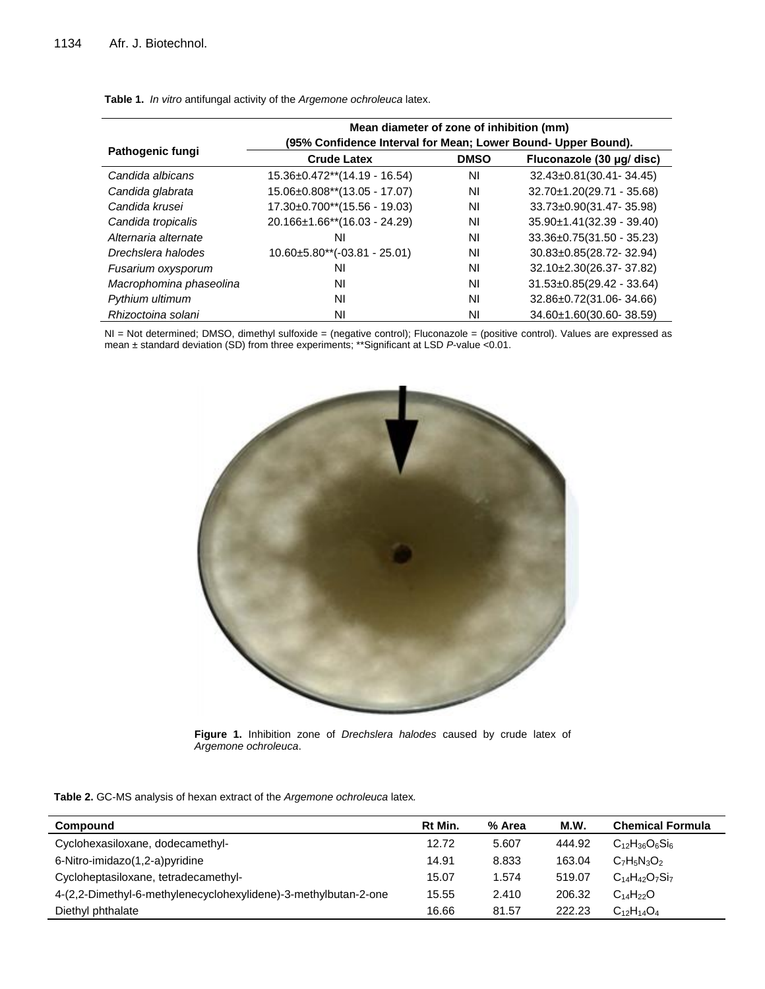|                         | Mean diameter of zone of inhibition (mm)                      |             |                                 |  |  |
|-------------------------|---------------------------------------------------------------|-------------|---------------------------------|--|--|
| Pathogenic fungi        | (95% Confidence Interval for Mean; Lower Bound- Upper Bound). |             |                                 |  |  |
|                         | <b>Crude Latex</b>                                            | <b>DMSO</b> | Fluconazole (30 µg/ disc)       |  |  |
| Candida albicans        | 15.36±0.472**(14.19 - 16.54)                                  | ΝI          | 32.43±0.81(30.41-34.45)         |  |  |
| Candida glabrata        | $15.06 \pm 0.808**$ (13.05 - 17.07)                           | ΝI          | $32.70 \pm 1.20(29.71 - 35.68)$ |  |  |
| Candida krusei          | $17.30\pm0.700**$ (15.56 - 19.03)                             | ΝI          | 33.73±0.90(31.47-35.98)         |  |  |
| Candida tropicalis      | $20.166 \pm 1.66$ <sup>**</sup> $(16.03 - 24.29)$             | ΝI          | $35.90 \pm 1.41(32.39 - 39.40)$ |  |  |
| Alternaria alternate    | ΝI                                                            | ΝI          | $33.36 \pm 0.75(31.50 - 35.23)$ |  |  |
| Drechslera halodes      | $10.60\pm5.80**(-03.81 - 25.01)$                              | ΝI          | 30.83±0.85(28.72-32.94)         |  |  |
| Fusarium oxysporum      | ΝI                                                            | ΝI          | 32.10±2.30(26.37-37.82)         |  |  |
| Macrophomina phaseolina | NI                                                            | ΝI          | $31.53 \pm 0.85(29.42 - 33.64)$ |  |  |
| Pythium ultimum         | ΝI                                                            | ΝI          | 32.86±0.72(31.06-34.66)         |  |  |
| Rhizoctoina solani      | ΝI                                                            | ΝI          | 34.60±1.60(30.60-38.59)         |  |  |

**Table 1.** *In vitro* antifungal activity of the *Argemone ochroleuca* latex.

NI = Not determined; DMSO, dimethyl sulfoxide = (negative control); Fluconazole = (positive control). Values are expressed as mean ± standard deviation (SD) from three experiments; \*\*Significant at LSD *P*-value <0.01.



**Figure 1.** Inhibition zone of *Drechslera halodes* caused by crude latex of *Argemone ochroleuca*.

**Table 2.** GC-MS analysis of hexan extract of the *Argemone ochroleuca* latex*.*

| Compound                                                        | Rt Min. | % Area | M.W.   | <b>Chemical Formula</b> |
|-----------------------------------------------------------------|---------|--------|--------|-------------------------|
| Cyclohexasiloxane, dodecamethyl-                                | 12.72   | 5.607  | 444.92 | $C_{12}H_{36}O_6Si_6$   |
| 6-Nitro-imidazo(1,2-a)pyridine                                  | 14.91   | 8.833  | 163.04 | $C_7H_5N_3O_2$          |
| Cycloheptasiloxane, tetradecamethyl-                            | 15.07   | 1.574  | 519.07 | $C_{14}H_{42}O_7Si_7$   |
| 4-(2,2-Dimethyl-6-methylenecyclohexylidene)-3-methylbutan-2-one | 15.55   | 2.410  | 206.32 | $C_{14}H_{22}O$         |
| Diethyl phthalate                                               | 16.66   | 81.57  | 222.23 | $C_{12}H_{14}O_4$       |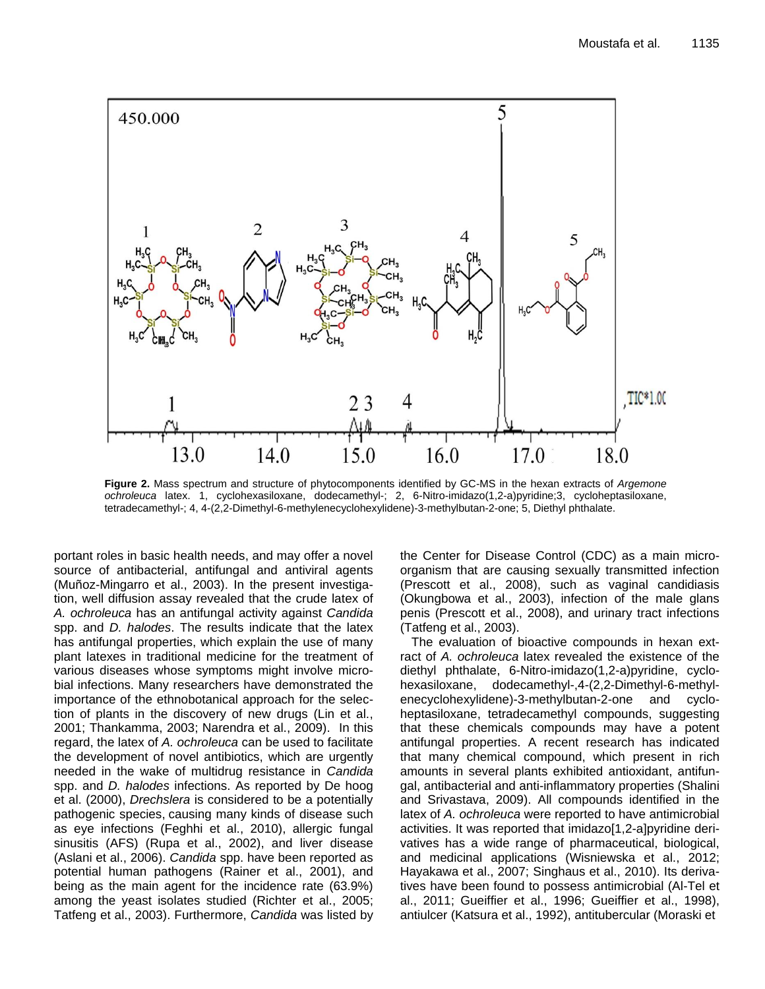

**Figure 2.** Mass spectrum and structure of phytocomponents identified by GC-MS in the hexan extracts of *Argemone ochroleuca* latex. 1, cyclohexasiloxane, dodecamethyl-; 2, 6-Nitro-imidazo(1,2-a)pyridine;3, cycloheptasiloxane, tetradecamethyl-; 4, 4-(2,2-Dimethyl-6-methylenecyclohexylidene)-3-methylbutan-2-one; 5, Diethyl phthalate.

portant roles in basic health needs, and may offer a novel source of antibacterial, antifungal and antiviral agents (Muñoz-Mingarro et al., 2003). In the present investigation, well diffusion assay revealed that the crude latex of *A. ochroleuca* has an antifungal activity against *Candida*  spp. and *D. halodes*. The results indicate that the latex has antifungal properties, which explain the use of many plant latexes in traditional medicine for the treatment of various diseases whose symptoms might involve microbial infections. Many researchers have demonstrated the importance of the ethnobotanical approach for the selection of plants in the discovery of new drugs (Lin et al., 2001; Thankamma, 2003; Narendra et al., 2009). In this regard, the latex of *A. ochroleuca* can be used to facilitate the development of novel antibiotics, which are urgently needed in the wake of multidrug resistance in *Candida*  spp. and *D. halodes* infections. As reported by De hoog et al. (2000), *Drechslera* is considered to be a potentially pathogenic species, causing many kinds of disease such as eye infections (Feghhi et al., 2010), allergic fungal sinusitis (AFS) (Rupa et al., 2002), and liver disease (Aslani et al., 2006). *Candida* spp. have been reported as potential human pathogens (Rainer et al., 2001), and being as the main agent for the incidence rate (63.9%) among the yeast isolates studied (Richter et al., 2005; Tatfeng et al., 2003). Furthermore, *Candida* was listed by the Center for Disease Control (CDC) as a main microorganism that are causing sexually transmitted infection (Prescott et al., 2008), such as vaginal candidiasis (Okungbowa et al., 2003), infection of the male glans penis (Prescott et al., 2008), and urinary tract infections (Tatfeng et al., 2003).

The evaluation of bioactive compounds in hexan extract of *A. ochroleuca* latex revealed the existence of the diethyl phthalate, 6-Nitro-imidazo(1,2-a)pyridine, cyclohexasiloxane, dodecamethyl-,4-(2,2-Dimethyl-6-methylenecyclohexylidene)-3-methylbutan-2-one and cycloheptasiloxane, tetradecamethyl compounds, suggesting that these chemicals compounds may have a potent antifungal properties. A recent research has indicated that many chemical compound, which present in rich amounts in several plants exhibited antioxidant, antifungal, antibacterial and anti-inflammatory properties (Shalini and Srivastava, 2009). All compounds identified in the latex of *A. ochroleuca* were reported to have antimicrobial activities. It was reported that imidazo[1,2-a]pyridine derivatives has a wide range of pharmaceutical, biological, and medicinal applications (Wisniewska et al., 2012; Hayakawa et al., 2007; Singhaus et al., 2010). Its derivatives have been found to possess antimicrobial (Al-Tel et al., 2011; Gueiffier et al., 1996; Gueiffier et al., 1998), antiulcer (Katsura et al., 1992), antitubercular (Moraski et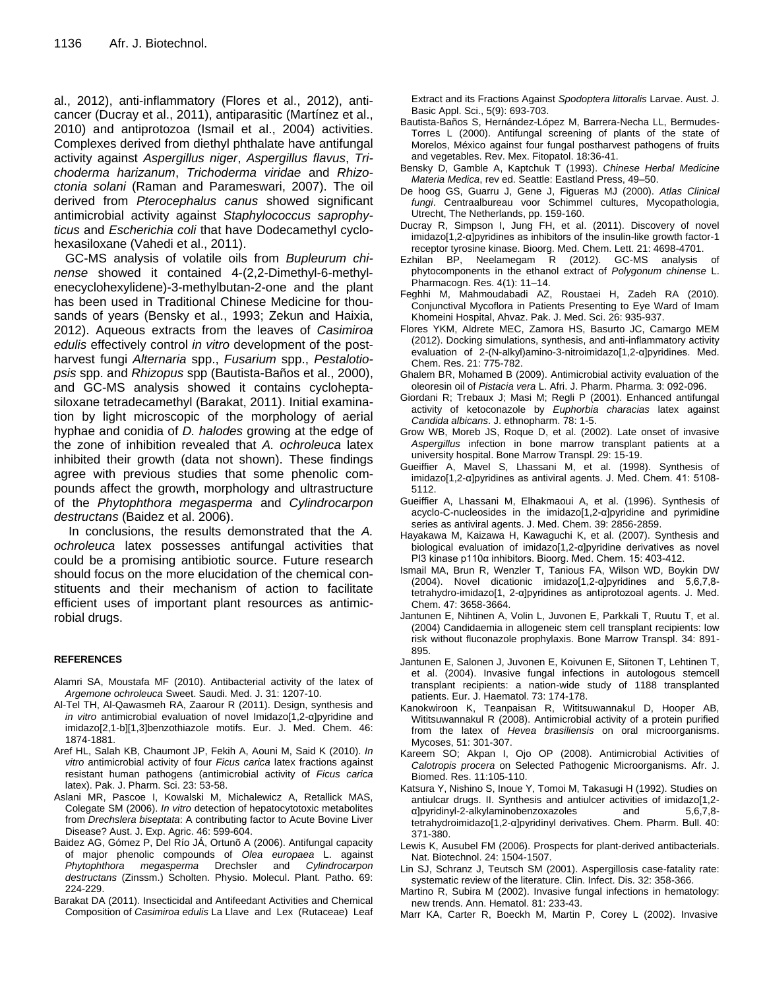al., 2012), anti-inflammatory (Flores et al., 2012), anticancer (Ducray et al., 2011), antiparasitic (Martínez et al., 2010) and antiprotozoa (Ismail et al., 2004) activities. Complexes derived from diethyl phthalate have antifungal activity against *Aspergillus niger*, *Aspergillus flavus*, *Trichoderma harizanum*, *Trichoderma viridae* and *Rhizoctonia solani* (Raman and Parameswari, 2007). The oil derived from *Pterocephalus canus* showed significant antimicrobial activity against *Staphylococcus saprophyticus* and *Escherichia coli* that have Dodecamethyl cyclohexasiloxane (Vahedi et al., 2011).

GC-MS analysis of volatile oils from *Bupleurum chinense* showed it contained 4-(2,2-Dimethyl-6-methylenecyclohexylidene)-3-methylbutan-2-one and the plant has been used in [Traditional Chinese Medicine](http://www.truestarhealth.com/Notes/2961002.html) for thousands of years (Bensky et al., 1993; Zekun and Haixia, 2012). Aqueous extracts from the leaves of *Casimiroa edulis* effectively control *in vitro* development of the postharvest fungi *Alternaria* spp., *Fusarium* spp., *Pestalotiopsis* spp. and *Rhizopus* spp (Bautista-Baños et al., 2000), and GC-MS analysis showed it contains cycloheptasiloxane tetradecamethyl (Barakat, 2011). Initial examination by light microscopic of the morphology of aerial hyphae and conidia of *D. halodes* growing at the edge of the zone of inhibition revealed that *A. ochroleuca* latex inhibited their growth (data not shown). These findings agree with previous studies that some phenolic compounds affect the growth, morphology and ultrastructure of the *Phytophthora megasperma* and *Cylindrocarpon destructans* (Baidez et al. 2006).

In conclusions, the results demonstrated that the *A. ochroleuca* latex possesses antifungal activities that could be a promising antibiotic source. Future research should focus on the more elucidation of the chemical constituents and their mechanism of action to facilitate efficient uses of important plant resources as antimicrobial drugs.

#### **REFERENCES**

- Alamri SA, [Moustafa MF](http://www.ncbi.nlm.nih.gov/pubmed?term=%22Moustafa%20MF%22%5BAuthor%5D) (2010). Antibacterial activity of the latex of *Argemone ochroleuca* Sweet. Saudi. Med. J. 31: 1207-10.
- Al-Tel TH, Al-Qawasmeh RA, Zaarour R (2011). Design, synthesis and *in vitro* antimicrobial evaluation of novel Imidazo[1,2-α]pyridine and imidazo[2,1-b][1,3]benzothiazole motifs. Eur. J. Med. Chem. 46: 1874-1881.
- Aref HL, Salah KB, Chaumont JP, Fekih A, Aouni M, Said K (2010). *In vitro* antimicrobial activity of four *Ficus carica* latex fractions against resistant human pathogens (antimicrobial activity of *Ficus carica*  latex). Pak. J. Pharm. Sci. 23: 53-58.
- Aslani MR, Pascoe I, Kowalski M, Michalewicz A, Retallick MAS, Colegate SM (2006). *In vitro* detection of hepatocytotoxic metabolites from *Drechslera biseptata*: A contributing factor to Acute Bovine Liver Disease? Aust. J. Exp. Agric. 46: 599-604.
- Baidez AG, Gómez P, Del Río JÁ, Ortunõ A (2006). Antifungal capacity of major phenolic compounds of *Olea europaea* L. against *Phytophthora megasperma* Drechsler and *Cylindrocarpon destructans* (Zinssm.) Scholten. Physio. Molecul. Plant. Patho. 69: 224-229.
- Barakat DA (2011). Insecticidal and Antifeedant Activities and Chemical Composition of *Casimiroa edulis* La Llave and Lex (Rutaceae) Leaf

Extract and its Fractions Against *Spodoptera littoralis* Larvae. Aust. J. Basic Appl. Sci., 5(9): 693-703.

- Bautista-Baños S, Hernández-López M, Barrera-Necha LL, Bermudes-Torres L (2000). Antifungal screening of plants of the state of Morelos, México against four fungal postharvest pathogens of fruits and vegetables. Rev. Mex. Fitopatol. 18:36-41.
- Bensky D, Gamble A, Kaptchuk T (1993). *Chinese Herbal Medicine Materia Medica*, rev ed. Seattle: Eastland Press, 49–50.
- De hoog GS, Guarru J, Gene J, Figueras MJ (2000). *Atlas Clinical fungi*. Centraalbureau voor Schimmel cultures, Mycopathologia, Utrecht, The Netherlands, pp. 159-160.
- Ducray R, Simpson I, Jung FH, et al. (2011). Discovery of novel imidazo[1,2-α]pyridines as inhibitors of the insulin-like growth factor-1 receptor tyrosine kinase. Bioorg. Med. Chem. Lett. 21: 4698-4701.
- Ezhilan BP, Neelamegam R (2012). GC-MS analysis of phytocomponents in the ethanol extract of *Polygonum chinense* L. Pharmacogn. Res. 4(1): 11–14.
- Feghhi M, Mahmoudabadi AZ, Roustaei H, Zadeh RA (2010). Conjunctival Mycoflora in Patients Presenting to Eye Ward of Imam Khomeini Hospital, Ahvaz. Pak. J. Med. Sci. 26: 935-937.
- Flores YKM, Aldrete MEC, Zamora HS, Basurto JC, Camargo MEM (2012). Docking simulations, synthesis, and anti-inflammatory activity evaluation of 2-(N-alkyl)amino-3-nitroimidazo[1,2-α]pyridines. Med. Chem. Res. 21: 775-782.
- Ghalem BR, Mohamed B (2009). Antimicrobial activity evaluation of the oleoresin oil of *Pistacia vera* L. Afri. J. Pharm. Pharma. 3: 092-096.
- Giordani R; Trebaux J; Masi M; Regli P (2001). Enhanced antifungal activity of ketoconazole by *Euphorbia characias* latex against *Candida albicans*. J. ethnopharm. 78: 1-5.
- Grow WB, Moreb JS, Roque D, et al. (2002). Late onset of invasive *Aspergillus* infection in bone marrow transplant patients at a university hospital. Bone Marrow Transpl. 29: 15-19.
- Gueiffier A, Mavel S, Lhassani M, et al. (1998). Synthesis of imidazo[1,2-α]pyridines as antiviral agents. J. Med. Chem. 41: 5108- 5112.
- Gueiffier A, Lhassani M, Elhakmaoui A, et al. (1996). Synthesis of acyclo-C-nucleosides in the imidazo[1,2-α]pyridine and pyrimidine series as antiviral agents. J. Med. Chem. 39: 2856-2859.
- Hayakawa M, Kaizawa H, Kawaguchi K, et al. (2007). Synthesis and biological evaluation of imidazo[1,2-α]pyridine derivatives as novel PI3 kinase p110α inhibitors. Bioorg. Med. Chem. 15: 403-412.
- Ismail MA, Brun R, Wenzler T, Tanious FA, Wilson WD, Boykin DW (2004). Novel dicationic imidazo[1,2-α]pyridines and 5,6,7,8 tetrahydro-imidazo[1, 2-α]pyridines as antiprotozoal agents. J. Med. Chem. 47: 3658-3664.
- Jantunen E, Nihtinen A, Volin L, [Juvonen E,](http://www.ncbi.nlm.nih.gov/pubmed?term=%22Juvonen%20E%22%5BAuthor%5D) [Parkkali T,](http://www.ncbi.nlm.nih.gov/pubmed?term=%22Parkkali%20T%22%5BAuthor%5D) [Ruutu T,](http://www.ncbi.nlm.nih.gov/pubmed?term=%22Ruutu%20T%22%5BAuthor%5D) et al. (2004) Candidaemia in allogeneic stem cell transplant recipients: low risk without fluconazole prophylaxis. Bone Marrow Transpl. 34: 891- 895.
- Jantunen E, Salonen J, Juvonen E, [Koivunen E,](http://www.ncbi.nlm.nih.gov/pubmed?term=%22Koivunen%20E%22%5BAuthor%5D) [Siitonen T,](http://www.ncbi.nlm.nih.gov/pubmed?term=%22Siitonen%20T%22%5BAuthor%5D) [Lehtinen T,](http://www.ncbi.nlm.nih.gov/pubmed?term=%22Lehtinen%20T%22%5BAuthor%5D) et al. (2004). Invasive fungal infections in autologous stemcell transplant recipients: a nation-wide study of 1188 transplanted patients. Eur. J. Haematol. 73: 174-178.
- Kanokwiroon K, Teanpaisan R, Wititsuwannakul D, Hooper AB, Wititsuwannakul R (2008). Antimicrobial activity of a protein purified from the latex of *Hevea brasiliensis* on oral microorganisms. Mycoses, 51: 301-307.
- Kareem SO; Akpan I, Ojo OP (2008). Antimicrobial Activities of *Calotropis procera* on Selected Pathogenic Microorganisms. Afr. J. Biomed. Res. 11:105-110.
- Katsura Y, Nishino S, Inoue Y, Tomoi M, Takasugi H (1992). Studies on antiulcar drugs. II. Synthesis and antiulcer activities of imidazo[1,2 α]pyridinyl-2-alkylaminobenzoxazoles and 5,6,7,8 tetrahydroimidazo[1,2-α]pyridinyl derivatives. Chem. Pharm. Bull. 40: 371-380.
- Lewis K, Ausubel FM (2006). Prospects for plant-derived antibacterials. Nat. Biotechnol. 24: 1504-1507.
- Lin SJ, Schranz J, Teutsch SM (2001). Aspergillosis case-fatality rate: systematic review of the literature. Clin. Infect. Dis. 32: 358-366.
- Martino R, Subira M (2002). Invasive fungal infections in hematology: new trends. Ann. Hematol. 81: 233-43.
- Marr KA, Carter R, Boeckh M, Martin P, Corey L (2002). Invasive